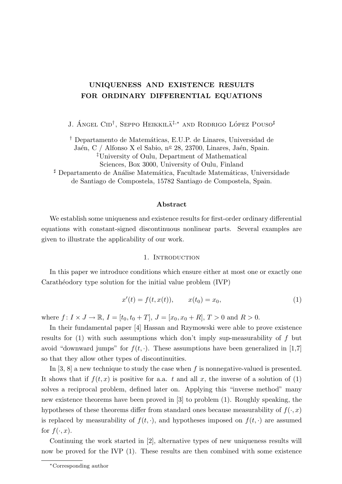# UNIQUENESS AND EXISTENCE RESULTS FOR ORDINARY DIFFERENTIAL EQUATIONS

J. Ángel Cid<sup>†</sup>, Seppo Heikkilä<sup>‡,∗</sup> and Rodrigo López Pouso<sup>#</sup>

† Departamento de Matem´aticas, E.U.P. de Linares, Universidad de

Jaén, C / Alfonso X el Sabio, nº 28, 23700, Linares, Jaén, Spain. ‡University of Oulu, Department of Mathematical Sciences, Box 3000, University of Oulu, Finland

<sup>#</sup> Departamento de Análise Matemática, Facultade Matemáticas, Universidade de Santiago de Compostela, 15782 Santiago de Compostela, Spain.

# Abstract

We establish some uniqueness and existence results for first-order ordinary differential equations with constant-signed discontinuous nonlinear parts. Several examples are given to illustrate the applicability of our work.

## 1. INTRODUCTION

In this paper we introduce conditions which ensure either at most one or exactly one Carathéodory type solution for the initial value problem (IVP)

$$
x'(t) = f(t, x(t)), \qquad x(t_0) = x_0,
$$
\n(1)

where  $f: I \times J \to \mathbb{R}, I = [t_0, t_0 + T], J = [x_0, x_0 + R], T > 0$  and  $R > 0$ .

In their fundamental paper [4] Hassan and Rzymowski were able to prove existence results for  $(1)$  with such assumptions which don't imply sup-measurability of f but avoid "downward jumps" for  $f(t, \cdot)$ . These assumptions have been generalized in [1,7] so that they allow other types of discontinuities.

In  $[3, 8]$  a new technique to study the case when f is nonnegative-valued is presented. It shows that if  $f(t, x)$  is positive for a.a. t and all x, the inverse of a solution of (1) solves a reciprocal problem, defined later on. Applying this "inverse method" many new existence theorems have been proved in [3] to problem (1). Roughly speaking, the hypotheses of these theorems differ from standard ones because measurability of  $f(\cdot, x)$ is replaced by measurability of  $f(t, \cdot)$ , and hypotheses imposed on  $f(t, \cdot)$  are assumed for  $f(\cdot, x)$ .

Continuing the work started in [2], alternative types of new uniqueness results will now be proved for the IVP (1). These results are then combined with some existence

<sup>∗</sup>Corresponding author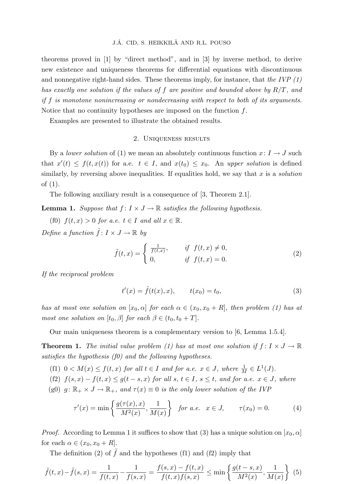theorems proved in [1] by "direct method", and in [3] by inverse method, to derive new existence and uniqueness theorems for differential equations with discontinuous and nonnegative right-hand sides. These theorems imply, for instance, that the IVP  $(1)$ has exactly one solution if the values of f are positive and bounded above by  $R/T$ , and if f is monotone nonincreasing or nondecreasing with respect to both of its arguments. Notice that no continuity hypotheses are imposed on the function  $f$ .

Examples are presented to illustrate the obtained results.

#### 2. Uniqueness results

By a lower solution of (1) we mean an absolutely continuous function  $x: I \to J$  such that  $x'(t) \leq f(t, x(t))$  for a.e.  $t \in I$ , and  $x(t_0) \leq x_0$ . An upper solution is defined similarly, by reversing above inequalities. If equalities hold, we say that x is a *solution* of (1).

The following auxiliary result is a consequence of [3, Theorem 2.1].

**Lemma 1.** Suppose that  $f: I \times J \to \mathbb{R}$  satisfies the following hypothesis.

(f0)  $f(t, x) > 0$  for a.e.  $t \in I$  and all  $x \in \mathbb{R}$ . Define a function  $\tilde{f}: I \times J \to \mathbb{R}$  by

$$
\tilde{f}(t,x) = \begin{cases}\n\frac{1}{f(t,x)}, & \text{if } f(t,x) \neq 0, \\
0, & \text{if } f(t,x) = 0.\n\end{cases}
$$
\n(2)

If the reciprocal problem

$$
t'(x) = \tilde{f}(t(x), x), \qquad t(x_0) = t_0,
$$
\n(3)

has at most one solution on  $[x_0, \alpha]$  for each  $\alpha \in (x_0, x_0 + R]$ , then problem (1) has at most one solution on  $[t_0, \beta]$  for each  $\beta \in (t_0, t_0 + T]$ .

Our main uniqueness theorem is a complementary version to [6, Lemma 1.5.4].

**Theorem 1.** The initial value problem (1) has at most one solution if  $f: I \times J \to \mathbb{R}$ satisfies the hypothesis (f0) and the following hypotheses.

- (f1)  $0 < M(x) \le f(t, x)$  for all  $t \in I$  and for a.e.  $x \in J$ , where  $\frac{1}{M} \in L^1(J)$ .
- (f2)  $f(s, x) f(t, x) \le g(t s, x)$  for all  $s, t \in I$ ,  $s \le t$ , and for a.e.  $x \in J$ , where
- (g0)  $g: \mathbb{R}_+ \times J \to \mathbb{R}_+$ , and  $\tau(x) \equiv 0$  is the only lower solution of the IVP

$$
\tau'(x) = \min\left\{\frac{g(\tau(x), x)}{M^2(x)}, \frac{1}{M(x)}\right\} \text{ for a.e. } x \in J, \qquad \tau(x_0) = 0. \tag{4}
$$

*Proof.* According to Lemma 1 it suffices to show that (3) has a unique solution on  $[x_0, \alpha]$ for each  $\alpha \in (x_0, x_0 + R]$ .

The definition (2) of  $\hat{f}$  and the hypotheses (f1) and (f2) imply that

$$
\tilde{f}(t,x) - \tilde{f}(s,x) = \frac{1}{f(t,x)} - \frac{1}{f(s,x)} = \frac{f(s,x) - f(t,x)}{f(t,x)f(s,x)} \le \min\left\{\frac{g(t-s,x)}{M^2(x)}, \frac{1}{M(x)}\right\} (5)
$$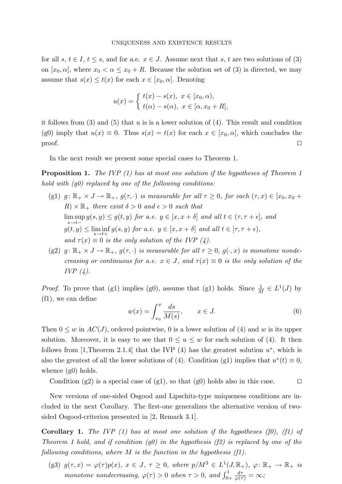for all s,  $t \in I$ ,  $t \leq s$ , and for a.e.  $x \in J$ . Assume next that s, t are two solutions of (3) on  $[x_0, \alpha]$ , where  $x_0 < \alpha \leq x_0 + R$ . Because the solution set of (3) is directed, we may assume that  $s(x) \leq t(x)$  for each  $x \in [x_0, \alpha]$ . Denoting

$$
u(x) = \begin{cases} t(x) - s(x), & x \in [x_0, \alpha), \\ t(\alpha) - s(\alpha), & x \in [\alpha, x_0 + R], \end{cases}
$$

it follows from  $(3)$  and  $(5)$  that u is is a lower solution of  $(4)$ . This result and condition (g0) imply that  $u(x) \equiv 0$ . Thus  $s(x) = t(x)$  for each  $x \in [x_0, \alpha]$ , which concludes the  $\Box$  proof.

In the next result we present some special cases to Theorem 1.

**Proposition 1.** The IVP (1) has at most one solution if the hypotheses of Theorem 1 hold with  $(q0)$  replaced by one of the following conditions:

- (g1)  $g: \mathbb{R}_+ \times J \to \mathbb{R}_+$ ,  $g(\tau, \cdot)$  is measurable for all  $\tau \geq 0$ , for each  $(\tau, x) \in [x_0, x_0 +$  $R) \times \mathbb{R}_{+}$  there exist  $\delta > 0$  and  $\epsilon > 0$  such that  $\limsup g(s, y) \leq g(t, y)$  for a.e.  $y \in [x, x + \delta]$  and all  $t \in (\tau, \tau + \epsilon]$ , and  $s \rightarrow t$  $g(t, y) \leq \liminf_{s \to t+} g(s, y)$  for a.e.  $y \in [x, x + \delta]$  and all  $t \in [\tau, \tau + \epsilon)$ , and  $\tau(x) \equiv 0$  is the only solution of the IVP (4).
- (g2)  $g: \mathbb{R}_+ \times J \to \mathbb{R}_+$ ,  $g(\tau, \cdot)$  is measurable for all  $\tau \geq 0$ ,  $g(\cdot, x)$  is monotone nondecreasing or continuous for a.e.  $x \in J$ , and  $\tau(x) \equiv 0$  is the only solution of the IVP  $(4)$ .

*Proof.* To prove that (g1) implies (g0), assume that (g1) holds. Since  $\frac{1}{M} \in L^1(J)$  by (f1), we can define

$$
w(x) = \int_{x_0}^{x} \frac{ds}{M(s)}, \qquad x \in J.
$$
 (6)

Then  $0 \leq w$  in  $AC(J)$ , ordered pointwise, 0 is a lower solution of (4) and w is its upper solution. Moreover, it is easy to see that  $0 \le u \le w$  for each solution of (4). It then follows from [1,Theorem 2.1.4] that the IVP  $(4)$  has the greatest solution  $u^*$ , which is also the greatest of all the lower solutions of (4). Condition (g1) implies that  $u^*(t) \equiv 0$ , whence  $(g0)$  holds.

Condition (g2) is a special case of (g1), so that (g0) holds also in this case.  $\Box$ 

New versions of one-sided Osgood and Lipschitz-type uniqueness conditions are included in the next Corollary. The first-one generalizes the alternative version of twosided Osgood-criterion presented in [2, Remark 3.1].

**Corollary 1.** The IVP (1) has at most one solution if the hypotheses (f0), (f1) of Theorem 1 hold, and if condition  $(g0)$  in the hypothesis  $(f2)$  is replaced by one of the following conditions, where  $M$  is the function in the hypothesis  $(f1)$ .

(g3)  $g(\tau, x) = \varphi(\tau)p(x), x \in J, \tau \geq 0$ , where  $p/M^2 \in L^1(J, \mathbb{R}_+), \varphi \colon \mathbb{R}_+ \to \mathbb{R}_+$  is monotone nondecreasing,  $\varphi(\tau) > 0$  when  $\tau > 0$ , and  $\int_{0+}^{1}$  $d\tau$  $\frac{d\tau}{\varphi(\tau)}=\infty$ ;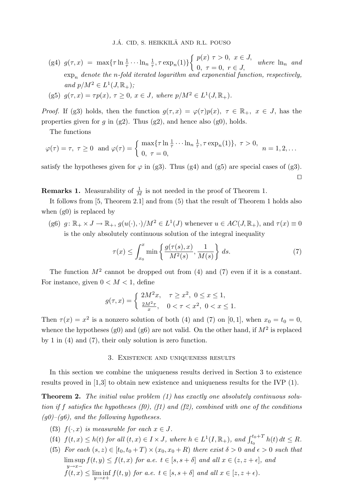J.Á. CID, S. HEIKKILÄ AND R.L. POUSO

- (g4)  $g(\tau, x) = \max\{\tau \ln \frac{1}{\tau} \cdots \ln_n \frac{1}{\tau}\}$  $\frac{1}{\tau}, \tau \exp_n(1)\}\$  $\int p(x) \tau > 0, \ x \in J,$  $0, \tau = 0, r \in J$ , where  $\ln_n$  and  $\exp_n$  denote the n-fold iterated logarithm and exponential function, respectively, and  $p/M^2 \in L^1(J, \mathbb{R}_+);$
- (g5)  $g(\tau, x) = \tau p(x), \tau \ge 0, x \in J$ , where  $p/M^2 \in L^1(J, \mathbb{R}_+)$ .

*Proof.* If (g3) holds, then the function  $g(\tau, x) = \varphi(\tau)p(x)$ ,  $\tau \in \mathbb{R}_+$ ,  $x \in J$ , has the properties given for  $g$  in (g2). Thus (g2), and hence also (g0), holds.

The functions

$$
\varphi(\tau) = \tau, \ \tau \ge 0 \text{ and } \varphi(\tau) = \begin{cases} \max\{\tau \ln \frac{1}{\tau} \cdots \ln \frac{1}{\tau}, \tau \exp_n(1)\}, \ \tau > 0, \\ 0, \ \tau = 0, \end{cases} \ n = 1, 2, \dots
$$

satisfy the hypotheses given for  $\varphi$  in (g3). Thus (g4) and (g5) are special cases of (g3).  $\Box$ 

**Remarks 1.** Measurability of  $\frac{1}{M}$  is not needed in the proof of Theorem 1.

It follows from [5, Theorem 2.1] and from (5) that the result of Theorem 1 holds also when  $(g0)$  is replaced by

(g6)  $g: \mathbb{R}_+ \times J \to \mathbb{R}_+$ ,  $g(u(\cdot), \cdot)/M^2 \in L^1(J)$  whenever  $u \in AC(J, \mathbb{R}_+)$ , and  $\tau(x) \equiv 0$ is the only absolutely continuous solution of the integral inequality

$$
\tau(x) \le \int_{x_0}^x \min\left\{\frac{g(\tau(s), x)}{M^2(s)}, \frac{1}{M(s)}\right\} ds. \tag{7}
$$

The function  $M^2$  cannot be dropped out from (4) and (7) even if it is a constant. For instance, given  $0 < M < 1$ , define

$$
g(\tau, x) = \begin{cases} 2M^2x, & \tau \ge x^2, \ 0 \le x \le 1, \\ \frac{2M^2\tau}{x}, & 0 < \tau < x^2, \ 0 < x \le 1. \end{cases}
$$

Then  $\tau(x) = x^2$  is a nonzero solution of both (4) and (7) on [0, 1], when  $x_0 = t_0 = 0$ , whence the hypotheses (g0) and (g6) are not valid. On the other hand, if  $M^2$  is replaced by 1 in (4) and (7), their only solution is zero function.

## 3. Existence and uniqueness results

In this section we combine the uniqueness results derived in Section 3 to existence results proved in [1,3] to obtain new existence and uniqueness results for the IVP (1).

**Theorem 2.** The initial value problem  $(1)$  has exactly one absolutely continuous solution if f satisfies the hypotheses  $(f0)$ ,  $(f1)$  and  $(f2)$ , combined with one of the conditions  $(g0)$ – $(g6)$ , and the following hypotheses.

- (f3)  $f(\cdot, x)$  is measurable for each  $x \in J$ .
- (f4)  $f(t, x) \leq h(t)$  for all  $(t, x) \in I \times J$ , where  $h \in L^1(I, \mathbb{R}_+)$ , and  $\int_{t_0}^{t_0+T} h(t) dt \leq R$ .
- (f5) For each  $(s, z) \in [t_0, t_0 + T) \times (x_0, x_0 + R)$  there exist  $\delta > 0$  and  $\epsilon > 0$  such that  $\limsup f(t, y) \leq f(t, x)$  for a.e.  $t \in [s, s + \delta]$  and all  $x \in (z, z + \epsilon]$ , and  $y \rightarrow x-\frac{1}{2}$  $f(t,x) \leq \liminf_{y \to x+} f(t,y)$  for a.e.  $t \in [s, s+\delta]$  and all  $x \in [z, z+\epsilon)$ .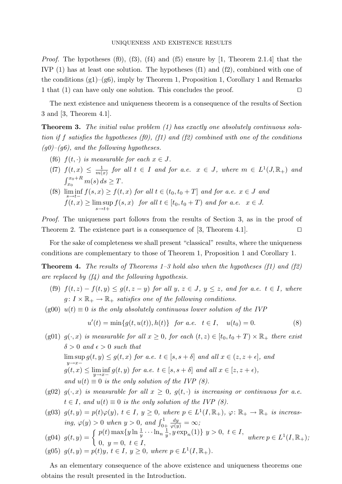*Proof.* The hypotheses (f0), (f3), (f4) and (f5) ensure by [1, Theorem 2.1.4] that the IVP (1) has at least one solution. The hypotheses (f1) and (f2), combined with one of the conditions  $(g1)-(g6)$ , imply by Theorem 1, Proposition 1, Corollary 1 and Remarks 1 that (1) can have only one solution. This concludes the proof.  $\Box$ 

The next existence and uniqueness theorem is a consequence of the results of Section 3 and [3, Theorem 4.1].

**Theorem 3.** The initial value problem (1) has exactly one absolutely continuous solution if f satisfies the hypotheses (f0), (f1) and (f2) combined with one of the conditions  $(g0)$ – $(g6)$ , and the following hypotheses.

- (f6)  $f(t, \cdot)$  is measurable for each  $x \in J$ .
- $(f7) f(t,x) \leq \frac{1}{m}$  $\frac{1}{m(x)}$  for all  $t \in I$  and for a.e.  $x \in J$ , where  $m \in L^1(J, \mathbb{R}_+)$  and  $\int_{x_0}^{x_0+R} m(s) ds \geq T.$  $\overline{x_0}$
- (f8)  $\liminf_{s \to t-} f(s, x) \ge f(t, x)$  for all  $t \in (t_0, t_0 + T]$  and for a.e.  $x \in J$  and  $f(t, x) \ge \limsup$  $\limsup_{s \to t+} f(s, x)$  for all  $t \in [t_0, t_0 + T)$  and for a.e.  $x \in J$ .

Proof. The uniqueness part follows from the results of Section 3, as in the proof of Theorem 2. The existence part is a consequence of [3, Theorem 4.1].

For the sake of completeness we shall present "classical" results, where the uniqueness conditions are complementary to those of Theorem 1, Proposition 1 and Corollary 1.

**Theorem 4.** The results of Theorems  $1-3$  hold also when the hypotheses (f1) and (f2) are replaced by  $(f_4)$  and the following hypothesis.

- (f9)  $f(t, z) f(t, y) \le g(t, z y)$  for all  $y, z \in J$ ,  $y \le z$ , and for a.e.  $t \in I$ , where  $g: I \times \mathbb{R}_+ \to \mathbb{R}_+$  satisfies one of the following conditions.
- $(g00)$   $u(t) \equiv 0$  is the only absolutely continuous lower solution of the IVP

$$
u'(t) = \min\{g(t, u(t)), h(t)\} \quad \text{for a.e.} \quad t \in I, \quad u(t_0) = 0. \tag{8}
$$

(g01)  $g(\cdot, x)$  is measurable for all  $x \geq 0$ , for each  $(t, z) \in [t_0, t_0 + T) \times \mathbb{R}_+$  there exist  $\delta > 0$  and  $\epsilon > 0$  such that  $\limsup g(t, y) \leq g(t, x)$  for a.e.  $t \in [s, s + \delta]$  and all  $x \in (z, z + \epsilon]$ , and  $y \rightarrow x-\frac{1}{2}$  $g(t,x) \leq \liminf_{y \to x-} g(t,y)$  for a.e.  $t \in [s,s+\delta]$  and all  $x \in [z,z+\epsilon)$ , and  $u(t) \equiv 0$  is the only solution of the IVP (8).

- (g02)  $g(\cdot, x)$  is measurable for all  $x \geq 0$ ,  $g(t, \cdot)$  is increasing or continuous for a.e.  $t \in I$ , and  $u(t) \equiv 0$  is the only solution of the IVP (8).
- (g03)  $g(t, y) = p(t)\varphi(y), t \in I, y \ge 0$ , where  $p \in L^1(I, \mathbb{R}_+), \varphi \colon \mathbb{R}_+ \to \mathbb{R}_+$  is increasing,  $\varphi(y) > 0$  when  $y > 0$ , and  $\int_{0+}^{1}$ dy  $\frac{dy}{\varphi(y)} = \infty;$
- (g04)  $g(t, y) = \begin{cases} p(t) \max\{y \ln \frac{1}{y} \cdots \ln n \frac{1}{y} \end{cases}$  $\frac{1}{y}, y \exp_n(1) \} y > 0, t \in I$ , 0,  $y = 0, t \in I$ , where  $p \in L^1(I, \mathbb{R}_+)$ ; (g05)  $g(t, y) = p(t)y, t \in I, y \ge 0$ , where  $p \in L^1(I, \mathbb{R}_+)$ .

As an elementary consequence of the above existence and uniqueness theorems one obtains the result presented in the Introduction.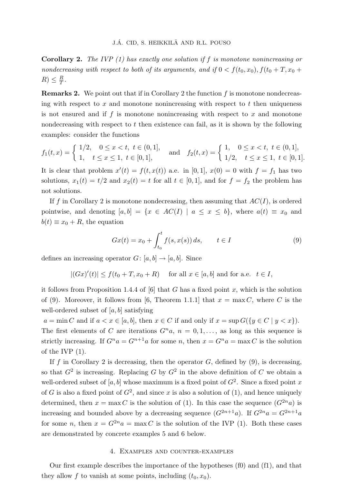**Corollary 2.** The IVP  $(1)$  has exactly one solution if f is monotone nonincreasing or nondecreasing with respect to both of its arguments, and if  $0 < f(t_0, x_0)$ ,  $f(t_0 + T, x_0 +$  $R) \leq \frac{R}{T}$  $\frac{R}{T}$  .

**Remarks 2.** We point out that if in Corollary 2 the function  $f$  is monotone nondecreasing with respect to  $x$  and monotone nonincreasing with respect to  $t$  then uniqueness is not ensured and if  $f$  is monotone nonincreasing with respect to  $x$  and monotone nondecreasing with respect to t then existence can fail, as it is shown by the following examples: consider the functions

$$
f_1(t,x) = \begin{cases} 1/2, & 0 \le x < t, \ t \in (0,1], \\ 1, & t \le x \le 1, \ t \in [0,1], \end{cases} \text{ and } f_2(t,x) = \begin{cases} 1, & 0 \le x < t, \ t \in (0,1], \\ 1/2, & t \le x \le 1, \ t \in [0,1]. \end{cases}
$$

It is clear that problem  $x'(t) = f(t, x(t))$  a.e. in [0,1],  $x(0) = 0$  with  $f = f_1$  has two solutions,  $x_1(t) = t/2$  and  $x_2(t) = t$  for all  $t \in [0, 1]$ , and for  $f = f_2$  the problem has not solutions.

If f in Corollary 2 is monotone nondecreasing, then assuming that  $AC(I)$ , is ordered pointwise, and denoting  $[a, b] = \{x \in AC(I) \mid a \le x \le b\}$ , where  $a(t) \equiv x_0$  and  $b(t) \equiv x_0 + R$ , the equation

$$
Gx(t) = x_0 + \int_{t_0}^t f(s, x(s)) ds, \qquad t \in I
$$
 (9)

defines an increasing operator  $G: [a, b] \rightarrow [a, b]$ . Since

 $|(Gx)'(t)| \le f(t_0 + T, x_0 + R)$  for all  $x \in [a, b]$  and for a.e.  $t \in I$ ,

it follows from Proposition 1.4.4 of  $[6]$  that G has a fixed point x, which is the solution of (9). Moreover, it follows from [6, Theorem 1.1.1] that  $x = \max C$ , where C is the well-ordered subset of  $[a, b]$  satisfying

 $a = \min C$  and if  $a < x \in [a, b]$ , then  $x \in C$  if and only if  $x = \sup G({y \in C | y < x})$ . The first elements of C are iterations  $G<sup>n</sup>a$ ,  $n = 0, 1, \ldots$ , as long as this sequence is strictly increasing. If  $G^n a = G^{n+1} a$  for some n, then  $x = G^n a = \max C$  is the solution of the IVP (1).

If f in Corollary 2 is decreasing, then the operator  $G$ , defined by  $(9)$ , is decreasing, so that  $G^2$  is increasing. Replacing G by  $G^2$  in the above definition of C we obtain a well-ordered subset of  $[a, b]$  whose maximum is a fixed point of  $G<sup>2</sup>$ . Since a fixed point x of G is also a fixed point of  $G^2$ , and since x is also a solution of (1), and hence uniquely determined, then  $x = \max C$  is the solution of (1). In this case the sequence  $(G^{2n}a)$  is increasing and bounded above by a decreasing sequence  $(G^{2n+1}a)$ . If  $G^{2n}a = G^{2n+1}a$ for some *n*, then  $x = G^{2n}a = \max C$  is the solution of the IVP (1). Both these cases are demonstrated by concrete examples 5 and 6 below.

### 4. Examples and counter-examples

Our first example describes the importance of the hypotheses (f0) and (f1), and that they allow f to vanish at some points, including  $(t_0, x_0)$ .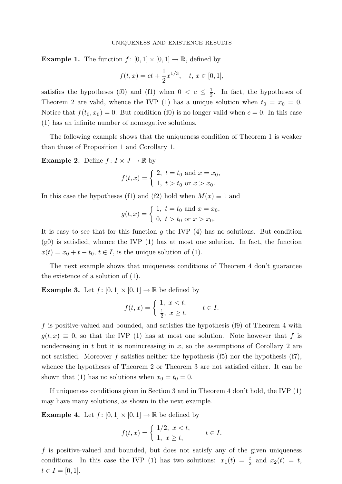#### UNIQUENESS AND EXISTENCE RESULTS

**Example 1.** The function  $f : [0,1] \times [0,1] \rightarrow \mathbb{R}$ , defined by

$$
f(t,x) = ct + \frac{1}{2}x^{1/3}, \quad t, x \in [0,1],
$$

satisfies the hypotheses (f0) and (f1) when  $0 < c \leq \frac{1}{2}$  $\frac{1}{2}$ . In fact, the hypotheses of Theorem 2 are valid, whence the IVP (1) has a unique solution when  $t_0 = x_0 = 0$ . Notice that  $f(t_0, x_0) = 0$ . But condition (f0) is no longer valid when  $c = 0$ . In this case (1) has an infinite number of nonnegative solutions.

The following example shows that the uniqueness condition of Theorem 1 is weaker than those of Proposition 1 and Corollary 1.

**Example 2.** Define  $f: I \times J \to \mathbb{R}$  by

$$
f(t,x) = \begin{cases} 2, t = t_0 \text{ and } x = x_0, \\ 1, t > t_0 \text{ or } x > x_0. \end{cases}
$$

In this case the hypotheses (f1) and (f2) hold when  $M(x) \equiv 1$  and

$$
g(t,x) = \begin{cases} 1, t = t_0 \text{ and } x = x_0, \\ 0, t > t_0 \text{ or } x > x_0. \end{cases}
$$

It is easy to see that for this function  $q$  the IVP  $(4)$  has no solutions. But condition (g0) is satisfied, whence the IVP (1) has at most one solution. In fact, the function  $x(t) = x_0 + t - t_0, t \in I$ , is the unique solution of (1).

The next example shows that uniqueness conditions of Theorem 4 don't guarantee the existence of a solution of (1).

**Example 3.** Let  $f : [0,1] \times [0,1] \rightarrow \mathbb{R}$  be defined by

$$
f(t,x) = \begin{cases} 1, & x < t, \\ \frac{1}{2}, & x \ge t, \end{cases} \quad t \in I.
$$

f is positive-valued and bounded, and satisfies the hypothesis  $(19)$  of Theorem 4 with  $g(t, x) \equiv 0$ , so that the IVP (1) has at most one solution. Note however that f is nondecresing in  $t$  but it is nonincreasing in  $x$ , so the assumptions of Corollary 2 are not satisfied. Moreover f satisfies neither the hypothesis  $(f5)$  nor the hypothesis  $(f7)$ , whence the hypotheses of Theorem 2 or Theorem 3 are not satisfied either. It can be shown that (1) has no solutions when  $x_0 = t_0 = 0$ .

If uniqueness conditions given in Section 3 and in Theorem 4 don't hold, the IVP (1) may have many solutions, as shown in the next example.

**Example 4.** Let  $f: [0,1] \times [0,1] \rightarrow \mathbb{R}$  be defined by

$$
f(t,x) = \begin{cases} 1/2, & x < t, \\ 1, & x \ge t, \end{cases} \qquad t \in I.
$$

 $f$  is positive-valued and bounded, but does not satisfy any of the given uniqueness conditions. In this case the IVP (1) has two solutions:  $x_1(t) = \frac{t}{2}$  and  $x_2(t) = t$ ,  $t \in I = [0, 1].$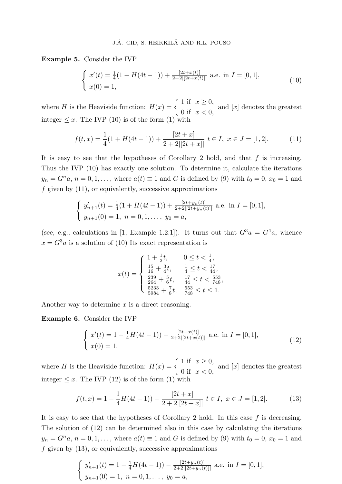Example 5. Consider the IVP

$$
\begin{cases}\nx'(t) = \frac{1}{4}(1 + H(4t - 1)) + \frac{[2t + x(t)]}{2 + 2|[2t + x(t)]|} \text{ a.e. in } I = [0, 1], \\
x(0) = 1,\n\end{cases}
$$
\n(10)

where H is the Heaviside function:  $H(x) = \begin{cases} 1 & \text{if } x \geq 0, \\ 0 & \text{if } x \geq 0. \end{cases}$ 0 if  $x < 0$ , and  $[x]$  denotes the greatest integer  $\leq x$ . The IVP (10) is of the form (1) with

$$
f(t,x) = \frac{1}{4}(1 + H(4t - 1)) + \frac{[2t + x]}{2 + 2|[2t + x]|} \ t \in I, \ x \in J = [1, 2]. \tag{11}
$$

It is easy to see that the hypotheses of Corollary 2 hold, and that  $f$  is increasing. Thus the IVP (10) has exactly one solution. To determine it, calculate the iterations  $y_n = G^n a$ ,  $n = 0, 1, \ldots$ , where  $a(t) \equiv 1$  and G is defined by (9) with  $t_0 = 0$ ,  $x_0 = 1$  and  $f$  given by  $(11)$ , or equivalently, successive approximations

$$
\begin{cases} y'_{n+1}(t) = \frac{1}{4}(1 + H(4t - 1)) + \frac{[2t + y_n(t)]}{2 + 2|[2t + y_n(t)]|} \text{ a.e. in } I = [0, 1],\\ y_{n+1}(0) = 1, \ n = 0, 1, \dots, \ y_0 = a, \end{cases}
$$

(see, e.g., calculations in [1, Example 1.2.1]). It turns out that  $G^3a = G^4a$ , whence  $x = G<sup>3</sup>a$  is a solution of (10) Its exact representation is

$$
x(t) = \begin{cases} 1 + \frac{1}{2}t, & 0 \le t < \frac{1}{4}, \\ \frac{15}{16} + \frac{3}{4}t, & \frac{1}{4} \le t < \frac{17}{44}, \\ \frac{239}{264} + \frac{5}{6}t, & \frac{17}{44} \le t < \frac{553}{748}, \\ \frac{5233}{5984} + \frac{7}{8}t, & \frac{553}{748} \le t \le 1. \end{cases}
$$

Another way to determine  $x$  is a direct reasoning.

Example 6. Consider the IVP

$$
\begin{cases}\nx'(t) = 1 - \frac{1}{4}H(4t - 1) - \frac{[2t + x(t)]}{2 + 2|[2t + x(t)]|} \text{ a.e. in } I = [0, 1], \\
x(0) = 1.\n\end{cases}
$$
\n(12)

where H is the Heaviside function:  $H(x) = \begin{cases} 1 & \text{if } x \geq 0, \\ 0 & \text{if } x > 0. \end{cases}$ 0 if  $x < 0$ , and  $[x]$  denotes the greatest integer  $\leq x$ . The IVP (12) is of the form (1) with

$$
f(t,x) = 1 - \frac{1}{4}H(4t - 1) - \frac{[2t + x]}{2 + 2|[2t + x]|} \ t \in I, \ x \in J = [1, 2]. \tag{13}
$$

It is easy to see that the hypotheses of Corollary 2 hold. In this case  $f$  is decreasing. The solution of (12) can be determined also in this case by calculating the iterations  $y_n = G^n a$ ,  $n = 0, 1, \ldots$ , where  $a(t) \equiv 1$  and G is defined by (9) with  $t_0 = 0$ ,  $x_0 = 1$  and  $f$  given by  $(13)$ , or equivalently, successive approximations

$$
\begin{cases} y'_{n+1}(t) = 1 - \frac{1}{4}H(4t - 1)) - \frac{[2t + y_n(t)]}{2 + 2|[2t + y_n(t)]|} \text{ a.e. in } I = [0, 1],\\ y_{n+1}(0) = 1, \ n = 0, 1, \dots, \ y_0 = a, \end{cases}
$$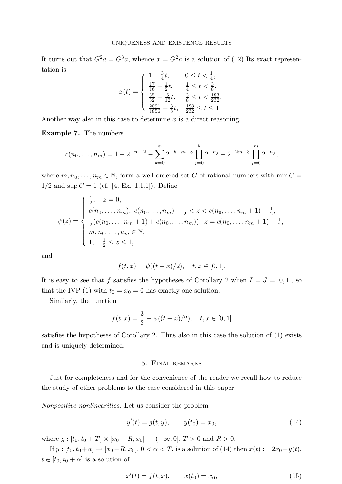It turns out that  $G^2a = G^3a$ , whence  $x = G^2a$  is a solution of (12) Its exact representation is 1 + <sup>3</sup>

$$
x(t) = \begin{cases} 1 + \frac{3}{4}t, & 0 \leq t < \frac{1}{4}, \\ \frac{17}{16} + \frac{1}{2}t, & \frac{1}{4} \leq t < \frac{3}{8}, \\ \frac{35}{32} + \frac{5}{12}t, & \frac{3}{8} \leq t < \frac{183}{232}, \\ \frac{2091}{1856} + \frac{3}{8}t, & \frac{183}{232} \leq t \leq 1. \end{cases}
$$

Another way also in this case to determine  $x$  is a direct reasoning.

Example 7. The numbers

$$
c(n_0,\ldots,n_m) = 1 - 2^{-m-2} - \sum_{k=0}^m 2^{-k-m-3} \prod_{j=0}^k 2^{-n_j} - 2^{-2m-3} \prod_{j=0}^m 2^{-n_j},
$$

where  $m, n_0, \ldots, n_m \in \mathbb{N}$ , form a well-ordered set C of rational numbers with min  $C =$  $1/2$  and sup  $C = 1$  (cf. [4, Ex. 1.1.1]). Define

$$
\psi(z) = \begin{cases} \frac{1}{2}, & z = 0, \\ c(n_0, \dots, n_m), & c(n_0, \dots, n_m) - \frac{1}{2} < z < c(n_0, \dots, n_m + 1) - \frac{1}{2}, \\ \frac{1}{2}(c(n_0, \dots, n_m + 1) + c(n_0, \dots, n_m)), & z = c(n_0, \dots, n_m + 1) - \frac{1}{2}, \\ m, n_0, \dots, n_m \in \mathbb{N}, \\ 1, & \frac{1}{2} \leq z \leq 1, \end{cases}
$$

and

$$
f(t, x) = \psi((t + x)/2), \quad t, x \in [0, 1].
$$

It is easy to see that f satisfies the hypotheses of Corollary 2 when  $I = J = [0, 1]$ , so that the IVP (1) with  $t_0 = x_0 = 0$  has exactly one solution.

Similarly, the function

$$
f(t,x) = \frac{3}{2} - \psi((t+x)/2), \quad t, x \in [0,1]
$$

satisfies the hypotheses of Corollary 2. Thus also in this case the solution of (1) exists and is uniquely determined.

# 5. Final remarks

Just for completeness and for the convenience of the reader we recall how to reduce the study of other problems to the case considered in this paper.

Nonpositive nonlinearities. Let us consider the problem

$$
y'(t) = g(t, y), \qquad y(t_0) = x_0,\tag{14}
$$

where  $g: [t_0, t_0 + T] \times [x_0 - R, x_0] \to (-\infty, 0], T > 0$  and  $R > 0$ .

If  $y : [t_0, t_0 + \alpha] \to [x_0 - R, x_0], 0 < \alpha < T$ , is a solution of (14) then  $x(t) := 2x_0 - y(t)$ ,  $t \in [t_0, t_0 + \alpha]$  is a solution of

$$
x'(t) = f(t, x), \qquad x(t_0) = x_0,\tag{15}
$$